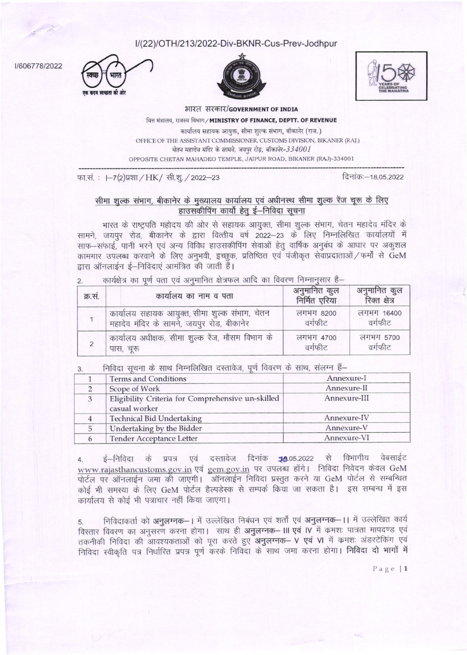I/(22)/OTH/213/2022-Div-BKNR-Cus-Prev-Jodhpur







I/606778/2022

भारत सरकार/GOVERNMENT OF INDIA वित्त मंत्रालय, राजस्व विभाग/MINISTRY OF FINANCE, DEPTT. OF REVENUE कार्यालय सहायक आयक्त, सीमा शुल्क संभाग, बीकानेर (राज.)

OFFICE OF THE ASSISTANT COMMISSIONER, CUSTOMS DIVISION, BIKANER (RAJ.) चेतन महादेव मंदिर के सामने, जयपुर रोड़, बीकानेर-334001

OPPOSITE CHETAN MAHADEO TEMPLE, JAIPUR ROAD, BIKANER (RAJ)-334001

दिनांकः-18.05.2022

फा.सं.: I-7(2)प्रशा / HK/ सी.शु. / 2022-23

## सीमा शुल्क संभाग, बीकानेर के मुख्यालय कार्यालय एवं अधीनस्थ सीमा शुल्क रेंज चूरू के लिए हाउसकीपिंग कार्यो हेतू ई–निविदा सूचना

भारत के राष्ट्रपति महोदय की ओर से सहायक आयुक्त, सीमा शुल्क संभाग, चेतन महादेव मंदिर के सामने, जयपुर रोड, बीकानेर के द्वारा वित्तीय वर्ष 2022-23 के लिए निम्नलिखित कार्यालयों में साफ-सफाई, पानी भरने एवं अन्य विविध हाउसकीपिंग सेवाओं हेतू वार्षिक अनुबंध के आधार पर अकुशल कामगार उपलब्ध करवाने के लिए अनुभवी, इच्छूक, प्रतिष्ठित एवं पंजीकृत सेवाप्रदाताओं / फर्मों से GeM द्रारा ऑनलाईन ई–निविदाएं आमंत्रित की जाती हैं।

2 कार्यक्षेत्र का पर्ण पता एवं अनमानित क्षेत्रफल आदि का विवरण निम्नानसार है–

| क्र.सं. | कार्यालय का नाम व पता                            | अनुमानित कुल<br>निर्मित एरिया | अनुमानित कुल<br>रिक्त क्षेत्र |
|---------|--------------------------------------------------|-------------------------------|-------------------------------|
|         | कार्यालय सहायक आयुक्त, सीमा शुल्क संभाग, चेतन    | लगभग 8200                     | लगभग 16400                    |
|         | महादेव मंदिर के सामने, जयपुर रोड, बीकानेर        | वर्गफीट                       | वर्गफीट                       |
|         | कार्यालय अधीक्षक, सीमा शुल्क रेंज, मौसम विभाग के | लगभग 4700                     | लगभग 5700                     |
|         | पास, चूरू                                        | वर्गफीट                       | वर्गफीट                       |

निविदा सचना के साथ निम्नलिखित दस्तावेज़, पूर्ण विवरण के साथ, संलग्न हैं—

|   | <b>Terms and Conditions</b>                                        | Annexure-I   |  |
|---|--------------------------------------------------------------------|--------------|--|
|   | Scope of Work                                                      | Annexure-II  |  |
| 3 | Eligibility Criteria for Comprehensive un-skilled<br>casual worker | Annexure-III |  |
|   | <b>Technical Bid Undertaking</b>                                   | Annexure-IV  |  |
|   | Undertaking by the Bidder                                          | Annexure-V   |  |
|   | Tender Acceptance Letter                                           | Annexure-VI  |  |

ई-निविदा के प्रपत्र एवं दस्तावेज दिनांक 18.05.2022 से विभागीय वेबसाईट  $4.$ www.rajasthancustoms.gov.in एवं gem.gov.in पर उपलब्ध होंगे। निविदा निवेदन केवल GeM पोर्टल पर ऑनलाईन जमा की जाएगी। ऑनलाईन निविदा प्रस्तुत करने या GeM पोर्टल से सम्बन्धित कोई भी समस्या के लिए GeM पोर्टल हैल्पडेस्क से सम्पर्क किया जा सकता है। इस सम्बन्ध में इस कार्यालय से कोई भी पत्राचार नहीं किया जाएगा।

निविदाकर्ता को अनुलग्नक-। में उल्लेखित निबंधन एवं शर्तों एवं अनुलग्नक-।। में उल्लेखित कार्य 5. विस्तार विवरण का अनुसरण करना होगा। साथ ही अनुलग्नक– III एवं IV में कमशः पात्रता मापदण्ड एवं तकनीकी निविदा की आवश्यकताओं को पूरा करते हुए अनुलग्नक- V एवं VI में कमशः अंडरटेकिंग एवं निविदा स्वीकृति पत्र निर्धारित प्रपत्र पूर्ण करके निविदा के साथ जमा करना होगा। निविदा दो भागों में

 $Page | 1$